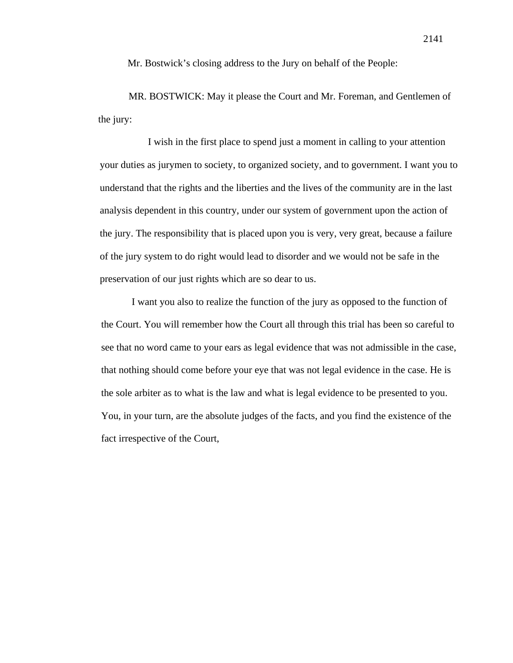Mr. Bostwick's closing address to the Jury on behalf of the People:

MR. BOSTWICK: May it please the Court and Mr. Foreman, and Gentlemen of the jury:

I wish in the first place to spend just a moment in calling to your attention your duties as jurymen to society, to organized society, and to government. I want you to understand that the rights and the liberties and the lives of the community are in the last analysis dependent in this country, under our system of government upon the action of the jury. The responsibility that is placed upon you is very, very great, because a failure of the jury system to do right would lead to disorder and we would not be safe in the preservation of our just rights which are so dear to us.

I want you also to realize the function of the jury as opposed to the function of the Court. You will remember how the Court all through this trial has been so careful to see that no word came to your ears as legal evidence that was not admissible in the case, that nothing should come before your eye that was not legal evidence in the case. He is the sole arbiter as to what is the law and what is legal evidence to be presented to you. You, in your turn, are the absolute judges of the facts, and you find the existence of the fact irrespective of the Court,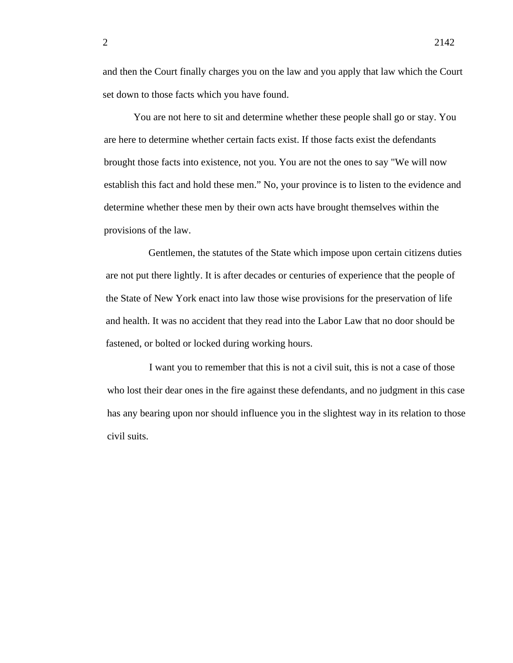and then the Court finally charges you on the law and you apply that law which the Court set down to those facts which you have found.

You are not here to sit and determine whether these people shall go or stay. You are here to determine whether certain facts exist. If those facts exist the defendants brought those facts into existence, not you. You are not the ones to say "We will now establish this fact and hold these men." No, your province is to listen to the evidence and determine whether these men by their own acts have brought themselves within the provisions of the law.

Gentlemen, the statutes of the State which impose upon certain citizens duties are not put there lightly. It is after decades or centuries of experience that the people of the State of New York enact into law those wise provisions for the preservation of life and health. It was no accident that they read into the Labor Law that no door should be fastened, or bolted or locked during working hours.

I want you to remember that this is not a civil suit, this is not a case of those who lost their dear ones in the fire against these defendants, and no judgment in this case has any bearing upon nor should influence you in the slightest way in its relation to those civil suits.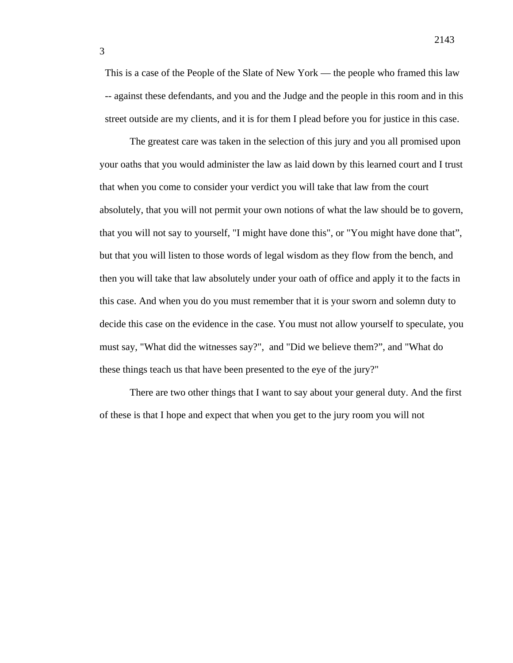This is a case of the People of the Slate of New York — the people who framed this law -- against these defendants, and you and the Judge and the people in this room and in this street outside are my clients, and it is for them I plead before you for justice in this case.

The greatest care was taken in the selection of this jury and you all promised upon your oaths that you would administer the law as laid down by this learned court and I trust that when you come to consider your verdict you will take that law from the court absolutely, that you will not permit your own notions of what the law should be to govern, that you will not say to yourself, "I might have done this", or "You might have done that", but that you will listen to those words of legal wisdom as they flow from the bench, and then you will take that law absolutely under your oath of office and apply it to the facts in this case. And when you do you must remember that it is your sworn and solemn duty to decide this case on the evidence in the case. You must not allow yourself to speculate, you must say, "What did the witnesses say?", and "Did we believe them?", and "What do these things teach us that have been presented to the eye of the jury?"

There are two other things that I want to say about your general duty. And the first of these is that I hope and expect that when you get to the jury room you will not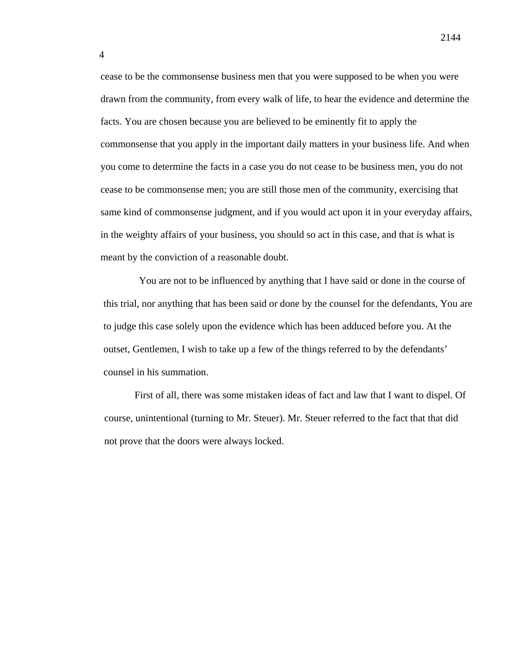cease to be the commonsense business men that you were supposed to be when you were drawn from the community, from every walk of life, to hear the evidence and determine the facts. You are chosen because you are believed to be eminently fit to apply the commonsense that you apply in the important daily matters in your business life. And when you come to determine the facts in a case you do not cease to be business men, you do not cease to be commonsense men; you are still those men of the community, exercising that same kind of commonsense judgment, and if you would act upon it in your everyday affairs, in the weighty affairs of your business, you should so act in this case, and that is what is meant by the conviction of a reasonable doubt.

4

You are not to be influenced by anything that I have said or done in the course of this trial, nor anything that has been said or done by the counsel for the defendants, You are to judge this case solely upon the evidence which has been adduced before you. At the outset, Gentlemen, I wish to take up a few of the things referred to by the defendants' counsel in his summation.

First of all, there was some mistaken ideas of fact and law that I want to dispel. Of course, unintentional (turning to Mr. Steuer). Mr. Steuer referred to the fact that that did not prove that the doors were always locked.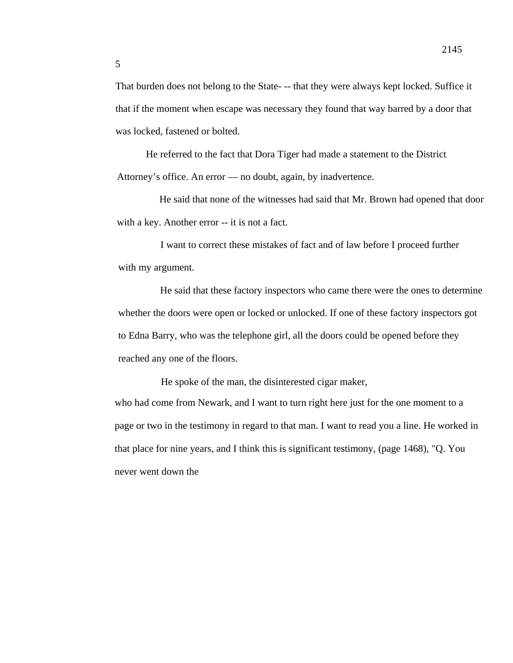That burden does not belong to the State- -- that they were always kept locked. Suffice it that if the moment when escape was necessary they found that way barred by a door that was locked, fastened or bolted.

He referred to the fact that Dora Tiger had made a statement to the District Attorney's office. An error — no doubt, again, by inadvertence.

He said that none of the witnesses had said that Mr. Brown had opened that door with a key. Another error -- it is not a fact.

I want to correct these mistakes of fact and of law before I proceed further with my argument.

He said that these factory inspectors who came there were the ones to determine whether the doors were open or locked or unlocked. If one of these factory inspectors got to Edna Barry, who was the telephone girl, all the doors could be opened before they reached any one of the floors.

He spoke of the man, the disinterested cigar maker, who had come from Newark, and I want to turn right here just for the one moment to a page or two in the testimony in regard to that man. I want to read you a line. He worked in that place for nine years, and I think this is significant testimony, (page 1468), "Q. You never went down the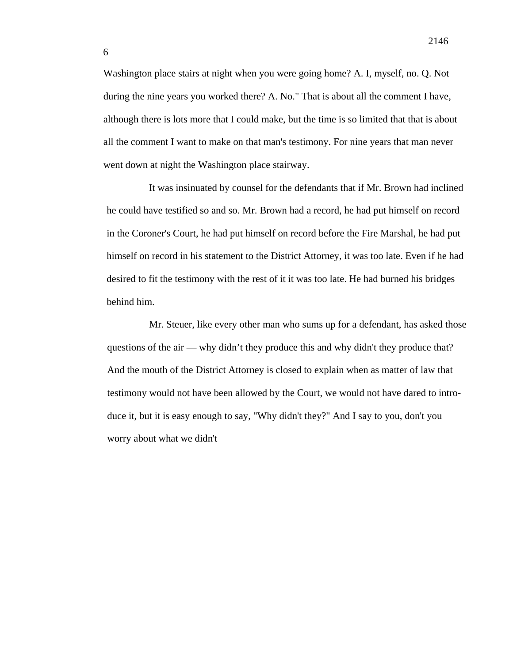Washington place stairs at night when you were going home? A. I, myself, no. Q. Not during the nine years you worked there? A. No." That is about all the comment I have, although there is lots more that I could make, but the time is so limited that that is about all the comment I want to make on that man's testimony. For nine years that man never went down at night the Washington place stairway.

It was insinuated by counsel for the defendants that if Mr. Brown had inclined he could have testified so and so. Mr. Brown had a record, he had put himself on record in the Coroner's Court, he had put himself on record before the Fire Marshal, he had put himself on record in his statement to the District Attorney, it was too late. Even if he had desired to fit the testimony with the rest of it it was too late. He had burned his bridges behind him.

Mr. Steuer, like every other man who sums up for a defendant, has asked those questions of the air — why didn't they produce this and why didn't they produce that? And the mouth of the District Attorney is closed to explain when as matter of law that testimony would not have been allowed by the Court, we would not have dared to introduce it, but it is easy enough to say, "Why didn't they?" And I say to you, don't you worry about what we didn't

6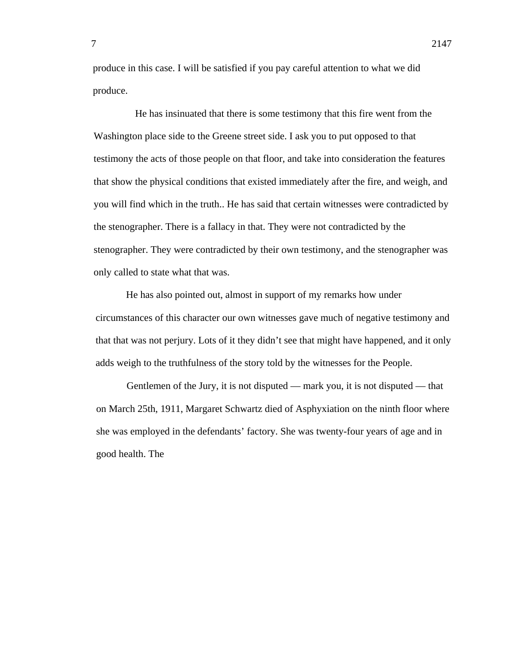produce in this case. I will be satisfied if you pay careful attention to what we did produce.

He has insinuated that there is some testimony that this fire went from the Washington place side to the Greene street side. I ask you to put opposed to that testimony the acts of those people on that floor, and take into consideration the features that show the physical conditions that existed immediately after the fire, and weigh, and you will find which in the truth.. He has said that certain witnesses were contradicted by the stenographer. There is a fallacy in that. They were not contradicted by the stenographer. They were contradicted by their own testimony, and the stenographer was only called to state what that was.

He has also pointed out, almost in support of my remarks how under circumstances of this character our own witnesses gave much of negative testimony and that that was not perjury. Lots of it they didn't see that might have happened, and it only adds weigh to the truthfulness of the story told by the witnesses for the People.

Gentlemen of the Jury, it is not disputed — mark you, it is not disputed — that on March 25th, 1911, Margaret Schwartz died of Asphyxiation on the ninth floor where she was employed in the defendants' factory. She was twenty-four years of age and in good health. The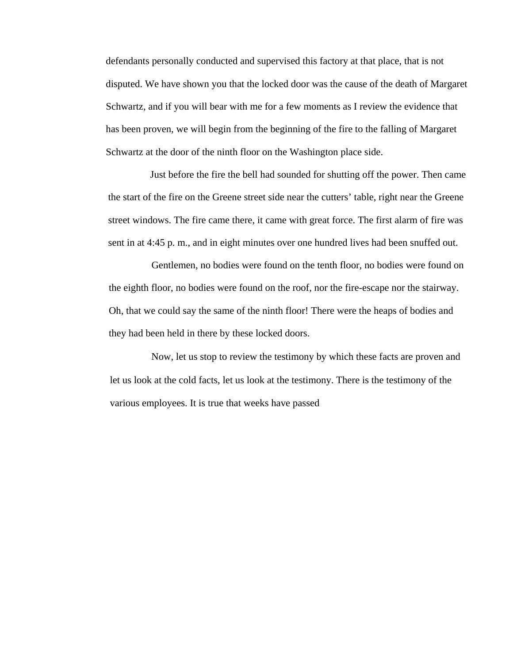defendants personally conducted and supervised this factory at that place, that is not disputed. We have shown you that the locked door was the cause of the death of Margaret Schwartz, and if you will bear with me for a few moments as I review the evidence that has been proven, we will begin from the beginning of the fire to the falling of Margaret Schwartz at the door of the ninth floor on the Washington place side.

Just before the fire the bell had sounded for shutting off the power. Then came the start of the fire on the Greene street side near the cutters' table, right near the Greene street windows. The fire came there, it came with great force. The first alarm of fire was sent in at 4:45 p. m., and in eight minutes over one hundred lives had been snuffed out.

Gentlemen, no bodies were found on the tenth floor, no bodies were found on the eighth floor, no bodies were found on the roof, nor the fire-escape nor the stairway. Oh, that we could say the same of the ninth floor! There were the heaps of bodies and they had been held in there by these locked doors.

Now, let us stop to review the testimony by which these facts are proven and let us look at the cold facts, let us look at the testimony. There is the testimony of the various employees. It is true that weeks have passed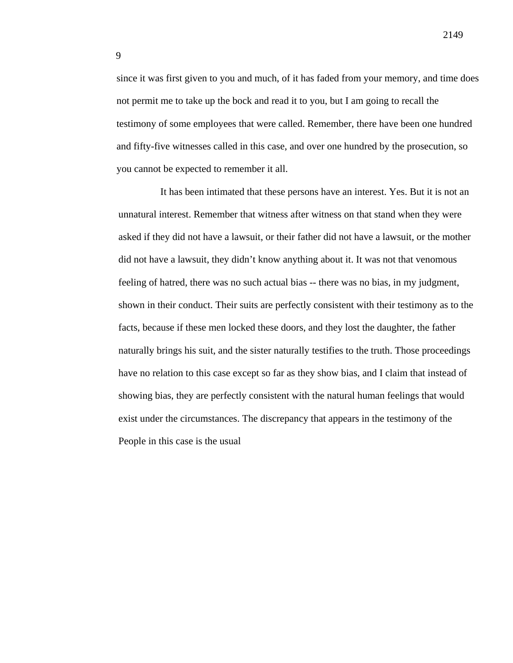since it was first given to you and much, of it has faded from your memory, and time does not permit me to take up the bock and read it to you, but I am going to recall the testimony of some employees that were called. Remember, there have been one hundred and fifty-five witnesses called in this case, and over one hundred by the prosecution, so you cannot be expected to remember it all.

It has been intimated that these persons have an interest. Yes. But it is not an unnatural interest. Remember that witness after witness on that stand when they were asked if they did not have a lawsuit, or their father did not have a lawsuit, or the mother did not have a lawsuit, they didn't know anything about it. It was not that venomous feeling of hatred, there was no such actual bias -- there was no bias, in my judgment, shown in their conduct. Their suits are perfectly consistent with their testimony as to the facts, because if these men locked these doors, and they lost the daughter, the father naturally brings his suit, and the sister naturally testifies to the truth. Those proceedings have no relation to this case except so far as they show bias, and I claim that instead of showing bias, they are perfectly consistent with the natural human feelings that would exist under the circumstances. The discrepancy that appears in the testimony of the People in this case is the usual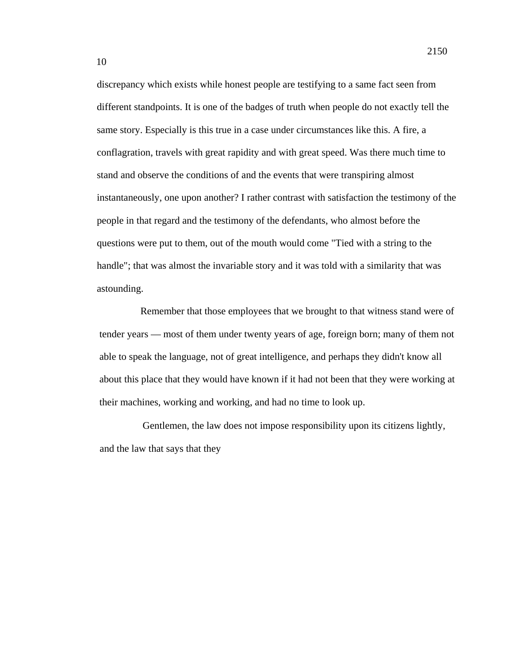discrepancy which exists while honest people are testifying to a same fact seen from different standpoints. It is one of the badges of truth when people do not exactly tell the same story. Especially is this true in a case under circumstances like this. A fire, a conflagration, travels with great rapidity and with great speed. Was there much time to stand and observe the conditions of and the events that were transpiring almost instantaneously, one upon another? I rather contrast with satisfaction the testimony of the people in that regard and the testimony of the defendants, who almost before the questions were put to them, out of the mouth would come "Tied with a string to the handle"; that was almost the invariable story and it was told with a similarity that was astounding.

Remember that those employees that we brought to that witness stand were of tender years — most of them under twenty years of age, foreign born; many of them not able to speak the language, not of great intelligence, and perhaps they didn't know all about this place that they would have known if it had not been that they were working at their machines, working and working, and had no time to look up.

Gentlemen, the law does not impose responsibility upon its citizens lightly, and the law that says that they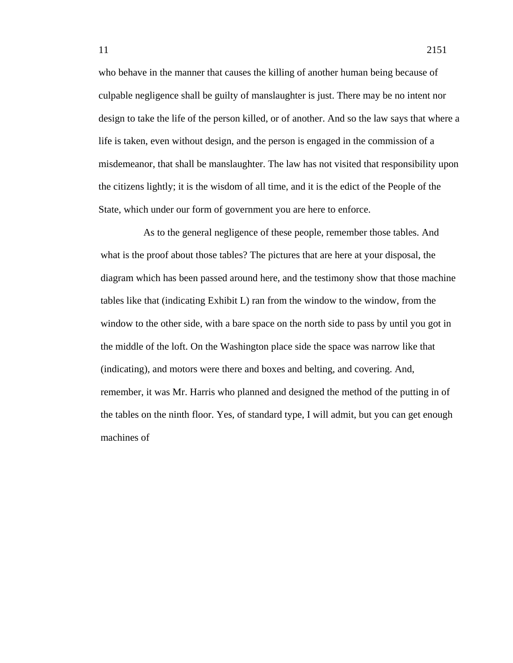who behave in the manner that causes the killing of another human being because of culpable negligence shall be guilty of manslaughter is just. There may be no intent nor design to take the life of the person killed, or of another. And so the law says that where a life is taken, even without design, and the person is engaged in the commission of a misdemeanor, that shall be manslaughter. The law has not visited that responsibility upon the citizens lightly; it is the wisdom of all time, and it is the edict of the People of the State, which under our form of government you are here to enforce.

As to the general negligence of these people, remember those tables. And what is the proof about those tables? The pictures that are here at your disposal, the diagram which has been passed around here, and the testimony show that those machine tables like that (indicating Exhibit L) ran from the window to the window, from the window to the other side, with a bare space on the north side to pass by until you got in the middle of the loft. On the Washington place side the space was narrow like that (indicating), and motors were there and boxes and belting, and covering. And, remember, it was Mr. Harris who planned and designed the method of the putting in of the tables on the ninth floor. Yes, of standard type, I will admit, but you can get enough machines of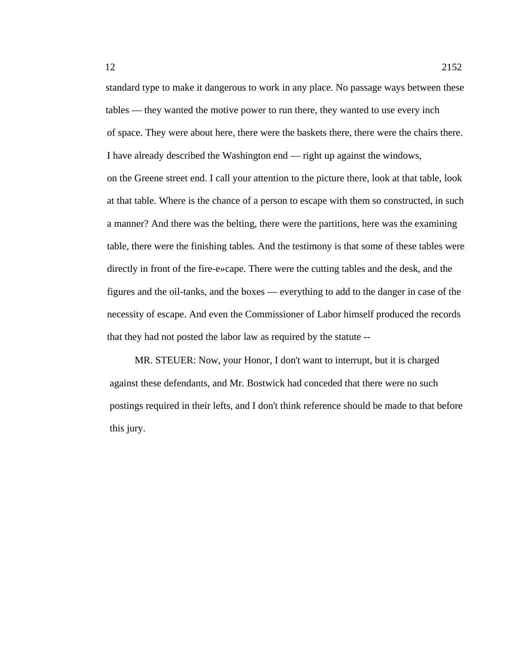standard type to make it dangerous to work in any place. No passage ways between these tables — they wanted the motive power to run there, they wanted to use every inch of space. They were about here, there were the baskets there, there were the chairs there. I have already described the Washington end — right up against the windows, on the Greene street end. I call your attention to the picture there, look at that table, look at that table. Where is the chance of a person to escape with them so constructed, in such a manner? And there was the belting, there were the partitions, here was the examining table, there were the finishing tables. And the testimony is that some of these tables were directly in front of the fire-e»cape. There were the cutting tables and the desk, and the figures and the oil-tanks, and the boxes — everything to add to the danger in case of the necessity of escape. And even the Commissioner of Labor himself produced the records that they had not posted the labor law as required by the statute --

MR. STEUER: Now, your Honor, I don't want to interrupt, but it is charged against these defendants, and Mr. Bostwick had conceded that there were no such postings required in their lefts, and I don't think reference should be made to that before this jury.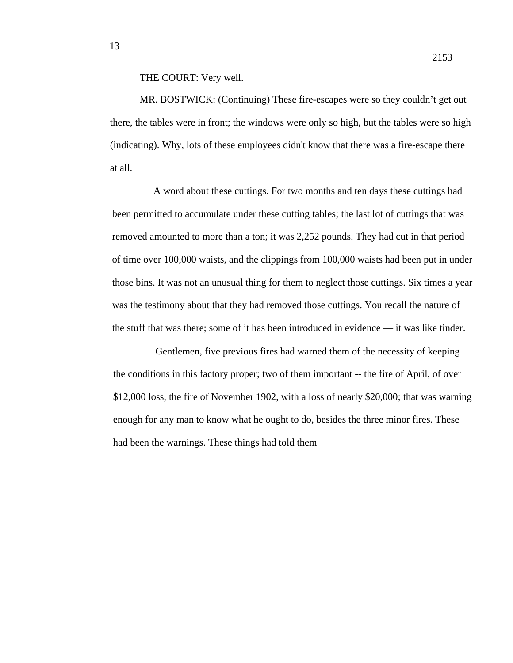## THE COURT: Very well.

MR. BOSTWICK: (Continuing) These fire-escapes were so they couldn't get out there, the tables were in front; the windows were only so high, but the tables were so high (indicating). Why, lots of these employees didn't know that there was a fire-escape there at all.

A word about these cuttings. For two months and ten days these cuttings had been permitted to accumulate under these cutting tables; the last lot of cuttings that was removed amounted to more than a ton; it was 2,252 pounds. They had cut in that period of time over 100,000 waists, and the clippings from 100,000 waists had been put in under those bins. It was not an unusual thing for them to neglect those cuttings. Six times a year was the testimony about that they had removed those cuttings. You recall the nature of the stuff that was there; some of it has been introduced in evidence — it was like tinder.

Gentlemen, five previous fires had warned them of the necessity of keeping the conditions in this factory proper; two of them important -- the fire of April, of over \$12,000 loss, the fire of November 1902, with a loss of nearly \$20,000; that was warning enough for any man to know what he ought to do, besides the three minor fires. These had been the warnings. These things had told them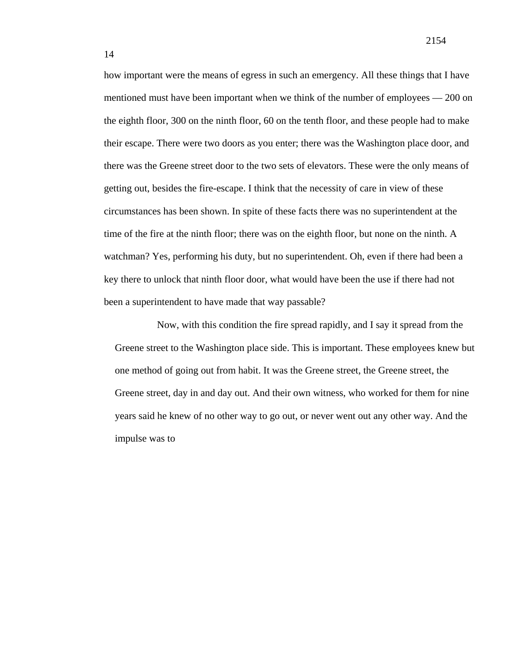how important were the means of egress in such an emergency. All these things that I have mentioned must have been important when we think of the number of employees — 200 on the eighth floor, 300 on the ninth floor, 60 on the tenth floor, and these people had to make their escape. There were two doors as you enter; there was the Washington place door, and there was the Greene street door to the two sets of elevators. These were the only means of getting out, besides the fire-escape. I think that the necessity of care in view of these circumstances has been shown. In spite of these facts there was no superintendent at the time of the fire at the ninth floor; there was on the eighth floor, but none on the ninth. A watchman? Yes, performing his duty, but no superintendent. Oh, even if there had been a key there to unlock that ninth floor door, what would have been the use if there had not been a superintendent to have made that way passable?

Now, with this condition the fire spread rapidly, and I say it spread from the Greene street to the Washington place side. This is important. These employees knew but one method of going out from habit. It was the Greene street, the Greene street, the Greene street, day in and day out. And their own witness, who worked for them for nine years said he knew of no other way to go out, or never went out any other way. And the impulse was to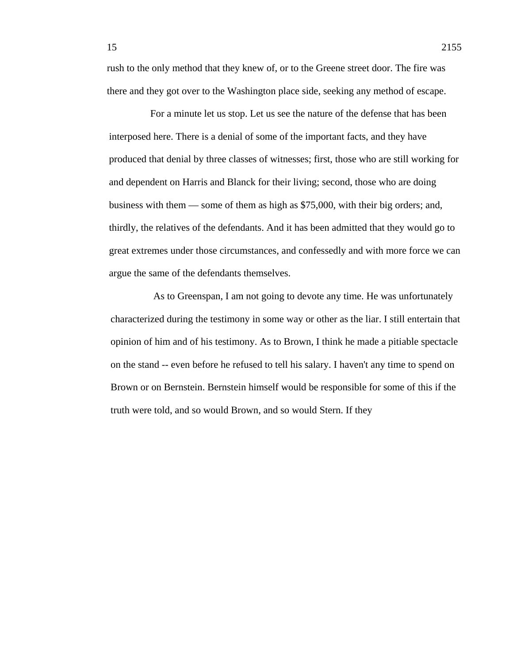rush to the only method that they knew of, or to the Greene street door. The fire was there and they got over to the Washington place side, seeking any method of escape.

For a minute let us stop. Let us see the nature of the defense that has been interposed here. There is a denial of some of the important facts, and they have produced that denial by three classes of witnesses; first, those who are still working for and dependent on Harris and Blanck for their living; second, those who are doing business with them — some of them as high as \$75,000, with their big orders; and, thirdly, the relatives of the defendants. And it has been admitted that they would go to great extremes under those circumstances, and confessedly and with more force we can argue the same of the defendants themselves.

As to Greenspan, I am not going to devote any time. He was unfortunately characterized during the testimony in some way or other as the liar. I still entertain that opinion of him and of his testimony. As to Brown, I think he made a pitiable spectacle on the stand -- even before he refused to tell his salary. I haven't any time to spend on Brown or on Bernstein. Bernstein himself would be responsible for some of this if the truth were told, and so would Brown, and so would Stern. If they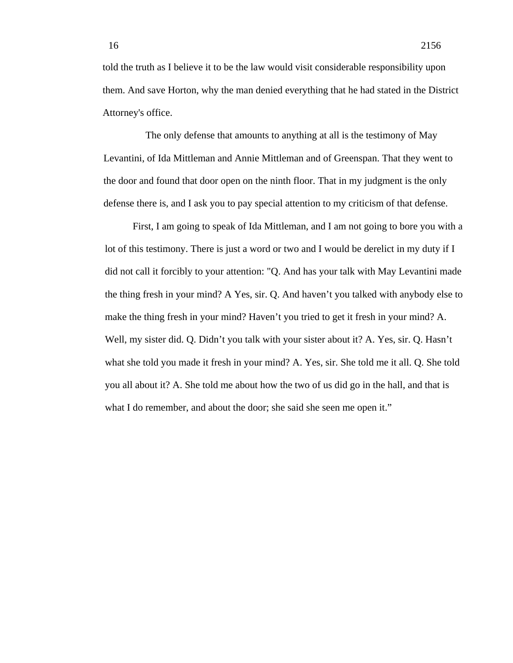told the truth as I believe it to be the law would visit considerable responsibility upon them. And save Horton, why the man denied everything that he had stated in the District Attorney's office.

The only defense that amounts to anything at all is the testimony of May Levantini, of Ida Mittleman and Annie Mittleman and of Greenspan. That they went to the door and found that door open on the ninth floor. That in my judgment is the only defense there is, and I ask you to pay special attention to my criticism of that defense.

First, I am going to speak of Ida Mittleman, and I am not going to bore you with a lot of this testimony. There is just a word or two and I would be derelict in my duty if I did not call it forcibly to your attention: "Q. And has your talk with May Levantini made the thing fresh in your mind? A Yes, sir. Q. And haven't you talked with anybody else to make the thing fresh in your mind? Haven't you tried to get it fresh in your mind? A. Well, my sister did. Q. Didn't you talk with your sister about it? A. Yes, sir. Q. Hasn't what she told you made it fresh in your mind? A. Yes, sir. She told me it all. Q. She told you all about it? A. She told me about how the two of us did go in the hall, and that is what I do remember, and about the door; she said she seen me open it."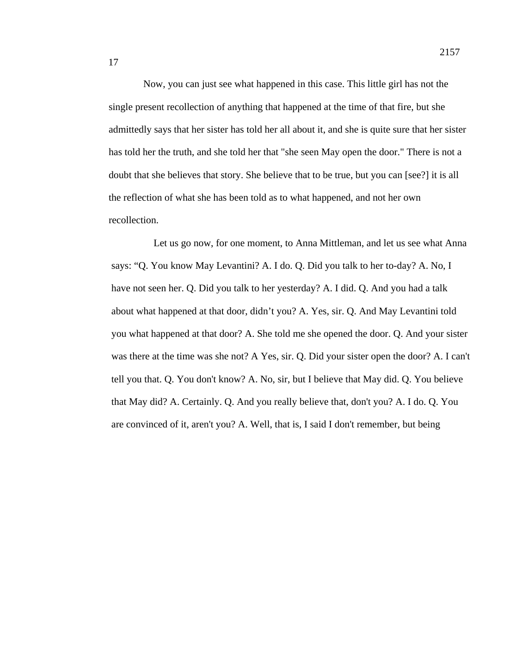Now, you can just see what happened in this case. This little girl has not the single present recollection of anything that happened at the time of that fire, but she admittedly says that her sister has told her all about it, and she is quite sure that her sister has told her the truth, and she told her that "she seen May open the door." There is not a doubt that she believes that story. She believe that to be true, but you can [see?] it is all the reflection of what she has been told as to what happened, and not her own recollection.

Let us go now, for one moment, to Anna Mittleman, and let us see what Anna says: "Q. You know May Levantini? A. I do. Q. Did you talk to her to-day? A. No, I have not seen her. Q. Did you talk to her yesterday? A. I did. Q. And you had a talk about what happened at that door, didn't you? A. Yes, sir. Q. And May Levantini told you what happened at that door? A. She told me she opened the door. Q. And your sister was there at the time was she not? A Yes, sir. Q. Did your sister open the door? A. I can't tell you that. Q. You don't know? A. No, sir, but I believe that May did. Q. You believe that May did? A. Certainly. Q. And you really believe that, don't you? A. I do. Q. You are convinced of it, aren't you? A. Well, that is, I said I don't remember, but being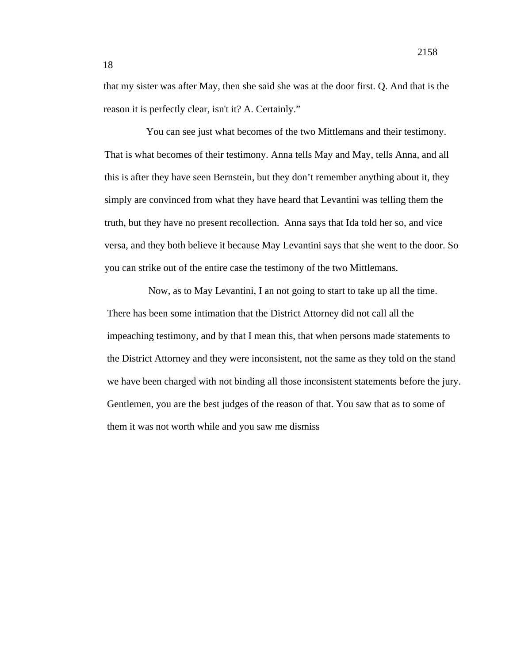that my sister was after May, then she said she was at the door first. Q. And that is the reason it is perfectly clear, isn't it? A. Certainly."

You can see just what becomes of the two Mittlemans and their testimony. That is what becomes of their testimony. Anna tells May and May, tells Anna, and all this is after they have seen Bernstein, but they don't remember anything about it, they simply are convinced from what they have heard that Levantini was telling them the truth, but they have no present recollection. Anna says that Ida told her so, and vice versa, and they both believe it because May Levantini says that she went to the door. So you can strike out of the entire case the testimony of the two Mittlemans.

Now, as to May Levantini, I an not going to start to take up all the time. There has been some intimation that the District Attorney did not call all the impeaching testimony, and by that I mean this, that when persons made statements to the District Attorney and they were inconsistent, not the same as they told on the stand we have been charged with not binding all those inconsistent statements before the jury. Gentlemen, you are the best judges of the reason of that. You saw that as to some of them it was not worth while and you saw me dismiss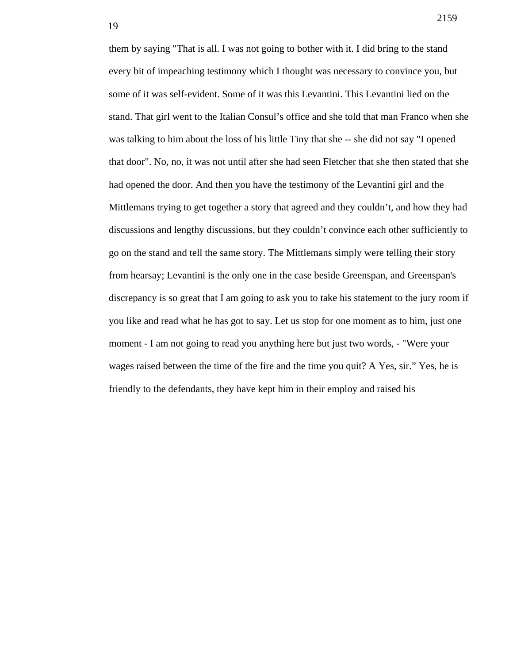them by saying "That is all. I was not going to bother with it. I did bring to the stand every bit of impeaching testimony which I thought was necessary to convince you, but some of it was self-evident. Some of it was this Levantini. This Levantini lied on the stand. That girl went to the Italian Consul's office and she told that man Franco when she was talking to him about the loss of his little Tiny that she -- she did not say "I opened that door". No, no, it was not until after she had seen Fletcher that she then stated that she had opened the door. And then you have the testimony of the Levantini girl and the Mittlemans trying to get together a story that agreed and they couldn't, and how they had discussions and lengthy discussions, but they couldn't convince each other sufficiently to go on the stand and tell the same story. The Mittlemans simply were telling their story from hearsay; Levantini is the only one in the case beside Greenspan, and Greenspan's discrepancy is so great that I am going to ask you to take his statement to the jury room if you like and read what he has got to say. Let us stop for one moment as to him, just one moment - I am not going to read you anything here but just two words, - "Were your wages raised between the time of the fire and the time you quit? A Yes, sir." Yes, he is friendly to the defendants, they have kept him in their employ and raised his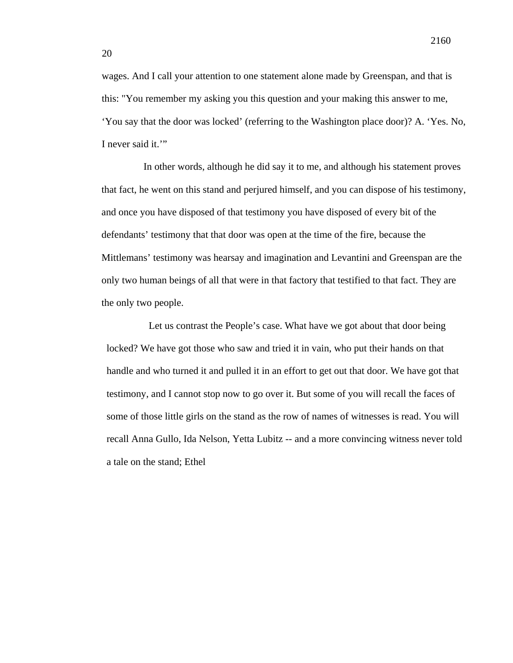wages. And I call your attention to one statement alone made by Greenspan, and that is this: "You remember my asking you this question and your making this answer to me, 'You say that the door was locked' (referring to the Washington place door)? A. 'Yes. No, I never said it."

In other words, although he did say it to me, and although his statement proves that fact, he went on this stand and perjured himself, and you can dispose of his testimony, and once you have disposed of that testimony you have disposed of every bit of the defendants' testimony that that door was open at the time of the fire, because the Mittlemans' testimony was hearsay and imagination and Levantini and Greenspan are the only two human beings of all that were in that factory that testified to that fact. They are the only two people.

Let us contrast the People's case. What have we got about that door being locked? We have got those who saw and tried it in vain, who put their hands on that handle and who turned it and pulled it in an effort to get out that door. We have got that testimony, and I cannot stop now to go over it. But some of you will recall the faces of some of those little girls on the stand as the row of names of witnesses is read. You will recall Anna Gullo, Ida Nelson, Yetta Lubitz -- and a more convincing witness never told a tale on the stand; Ethel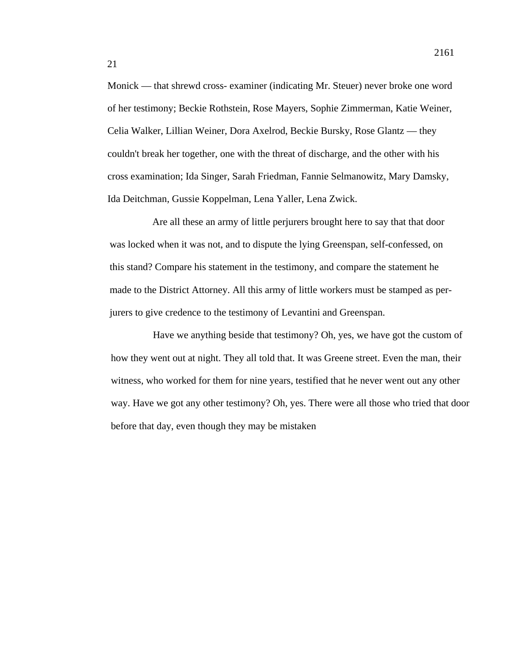Monick — that shrewd cross- examiner (indicating Mr. Steuer) never broke one word of her testimony; Beckie Rothstein, Rose Mayers, Sophie Zimmerman, Katie Weiner, Celia Walker, Lillian Weiner, Dora Axelrod, Beckie Bursky, Rose Glantz — they couldn't break her together, one with the threat of discharge, and the other with his cross examination; Ida Singer, Sarah Friedman, Fannie Selmanowitz, Mary Damsky, Ida Deitchman, Gussie Koppelman, Lena Yaller, Lena Zwick.

Are all these an army of little perjurers brought here to say that that door was locked when it was not, and to dispute the lying Greenspan, self-confessed, on this stand? Compare his statement in the testimony, and compare the statement he made to the District Attorney. All this army of little workers must be stamped as perjurers to give credence to the testimony of Levantini and Greenspan.

Have we anything beside that testimony? Oh, yes, we have got the custom of how they went out at night. They all told that. It was Greene street. Even the man, their witness, who worked for them for nine years, testified that he never went out any other way. Have we got any other testimony? Oh, yes. There were all those who tried that door before that day, even though they may be mistaken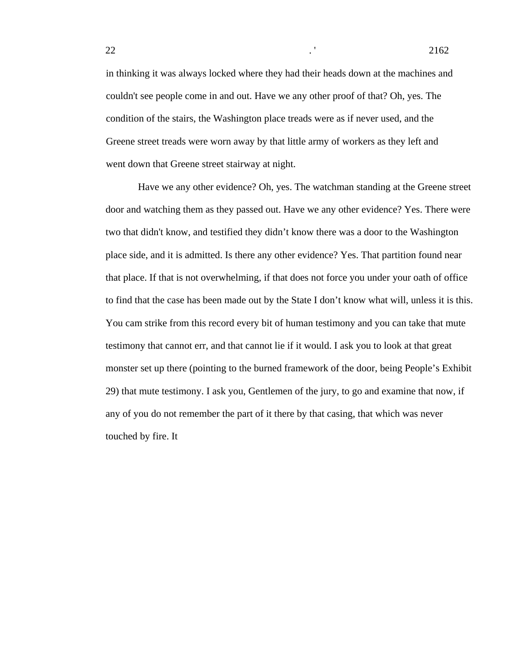in thinking it was always locked where they had their heads down at the machines and couldn't see people come in and out. Have we any other proof of that? Oh, yes. The condition of the stairs, the Washington place treads were as if never used, and the Greene street treads were worn away by that little army of workers as they left and went down that Greene street stairway at night.

Have we any other evidence? Oh, yes. The watchman standing at the Greene street door and watching them as they passed out. Have we any other evidence? Yes. There were two that didn't know, and testified they didn't know there was a door to the Washington place side, and it is admitted. Is there any other evidence? Yes. That partition found near that place. If that is not overwhelming, if that does not force you under your oath of office to find that the case has been made out by the State I don't know what will, unless it is this. You cam strike from this record every bit of human testimony and you can take that mute testimony that cannot err, and that cannot lie if it would. I ask you to look at that great monster set up there (pointing to the burned framework of the door, being People's Exhibit 29) that mute testimony. I ask you, Gentlemen of the jury, to go and examine that now, if any of you do not remember the part of it there by that casing, that which was never touched by fire. It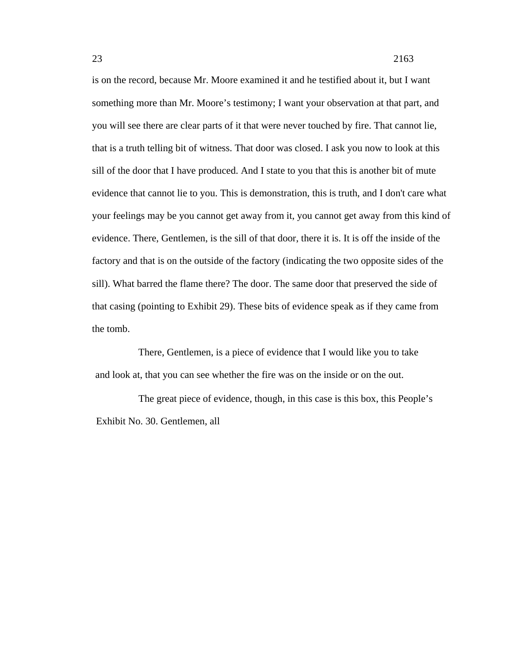is on the record, because Mr. Moore examined it and he testified about it, but I want something more than Mr. Moore's testimony; I want your observation at that part, and you will see there are clear parts of it that were never touched by fire. That cannot lie, that is a truth telling bit of witness. That door was closed. I ask you now to look at this sill of the door that I have produced. And I state to you that this is another bit of mute evidence that cannot lie to you. This is demonstration, this is truth, and I don't care what your feelings may be you cannot get away from it, you cannot get away from this kind of evidence. There, Gentlemen, is the sill of that door, there it is. It is off the inside of the factory and that is on the outside of the factory (indicating the two opposite sides of the sill). What barred the flame there? The door. The same door that preserved the side of that casing (pointing to Exhibit 29). These bits of evidence speak as if they came from the tomb.

There, Gentlemen, is a piece of evidence that I would like you to take and look at, that you can see whether the fire was on the inside or on the out.

The great piece of evidence, though, in this case is this box, this People's Exhibit No. 30. Gentlemen, all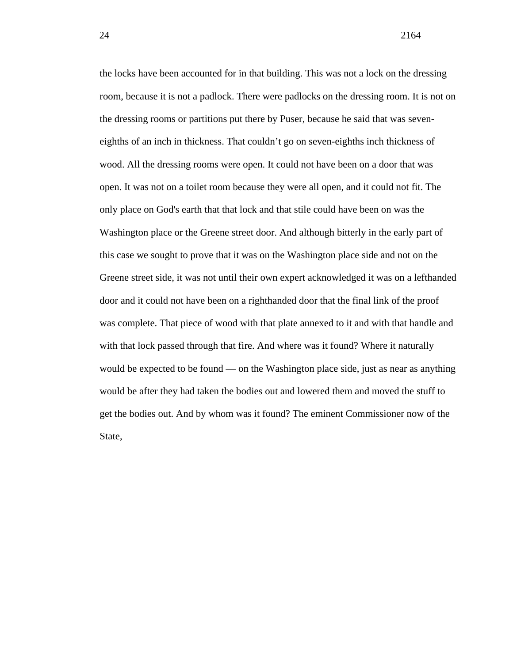24 2164

the locks have been accounted for in that building. This was not a lock on the dressing room, because it is not a padlock. There were padlocks on the dressing room. It is not on the dressing rooms or partitions put there by Puser, because he said that was seveneighths of an inch in thickness. That couldn't go on seven-eighths inch thickness of wood. All the dressing rooms were open. It could not have been on a door that was open. It was not on a toilet room because they were all open, and it could not fit. The only place on God's earth that that lock and that stile could have been on was the Washington place or the Greene street door. And although bitterly in the early part of this case we sought to prove that it was on the Washington place side and not on the Greene street side, it was not until their own expert acknowledged it was on a lefthanded door and it could not have been on a righthanded door that the final link of the proof was complete. That piece of wood with that plate annexed to it and with that handle and with that lock passed through that fire. And where was it found? Where it naturally would be expected to be found — on the Washington place side, just as near as anything would be after they had taken the bodies out and lowered them and moved the stuff to get the bodies out. And by whom was it found? The eminent Commissioner now of the State,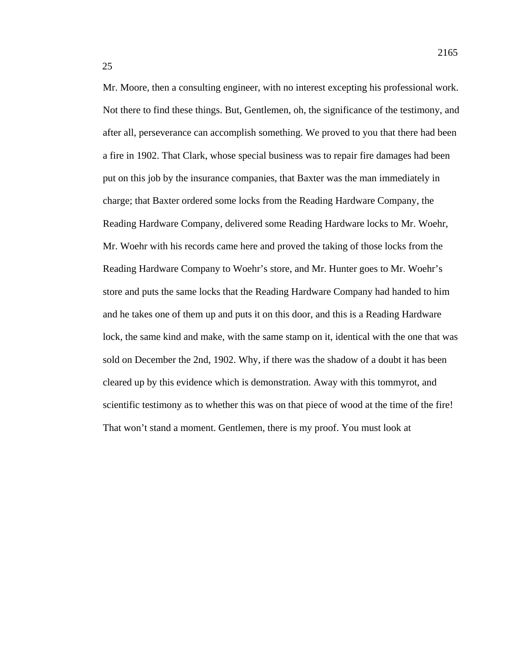Mr. Moore, then a consulting engineer, with no interest excepting his professional work. Not there to find these things. But, Gentlemen, oh, the significance of the testimony, and after all, perseverance can accomplish something. We proved to you that there had been a fire in 1902. That Clark, whose special business was to repair fire damages had been put on this job by the insurance companies, that Baxter was the man immediately in charge; that Baxter ordered some locks from the Reading Hardware Company, the Reading Hardware Company, delivered some Reading Hardware locks to Mr. Woehr, Mr. Woehr with his records came here and proved the taking of those locks from the Reading Hardware Company to Woehr's store, and Mr. Hunter goes to Mr. Woehr's store and puts the same locks that the Reading Hardware Company had handed to him and he takes one of them up and puts it on this door, and this is a Reading Hardware lock, the same kind and make, with the same stamp on it, identical with the one that was sold on December the 2nd, 1902. Why, if there was the shadow of a doubt it has been cleared up by this evidence which is demonstration. Away with this tommyrot, and scientific testimony as to whether this was on that piece of wood at the time of the fire! That won't stand a moment. Gentlemen, there is my proof. You must look at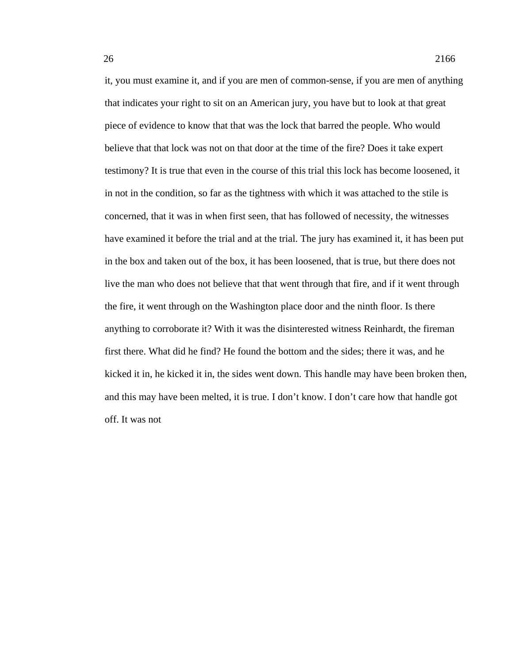it, you must examine it, and if you are men of common-sense, if you are men of anything that indicates your right to sit on an American jury, you have but to look at that great piece of evidence to know that that was the lock that barred the people. Who would believe that that lock was not on that door at the time of the fire? Does it take expert testimony? It is true that even in the course of this trial this lock has become loosened, it in not in the condition, so far as the tightness with which it was attached to the stile is concerned, that it was in when first seen, that has followed of necessity, the witnesses have examined it before the trial and at the trial. The jury has examined it, it has been put in the box and taken out of the box, it has been loosened, that is true, but there does not live the man who does not believe that that went through that fire, and if it went through the fire, it went through on the Washington place door and the ninth floor. Is there anything to corroborate it? With it was the disinterested witness Reinhardt, the fireman first there. What did he find? He found the bottom and the sides; there it was, and he kicked it in, he kicked it in, the sides went down. This handle may have been broken then, and this may have been melted, it is true. I don't know. I don't care how that handle got off. It was not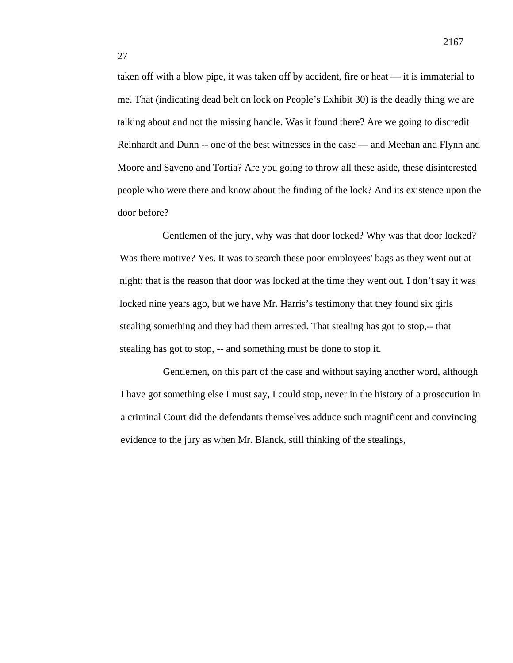taken off with a blow pipe, it was taken off by accident, fire or heat — it is immaterial to me. That (indicating dead belt on lock on People's Exhibit 30) is the deadly thing we are talking about and not the missing handle. Was it found there? Are we going to discredit Reinhardt and Dunn -- one of the best witnesses in the case — and Meehan and Flynn and Moore and Saveno and Tortia? Are you going to throw all these aside, these disinterested people who were there and know about the finding of the lock? And its existence upon the door before?

Gentlemen of the jury, why was that door locked? Why was that door locked? Was there motive? Yes. It was to search these poor employees' bags as they went out at night; that is the reason that door was locked at the time they went out. I don't say it was locked nine years ago, but we have Mr. Harris's testimony that they found six girls stealing something and they had them arrested. That stealing has got to stop,-- that stealing has got to stop, -- and something must be done to stop it.

Gentlemen, on this part of the case and without saying another word, although I have got something else I must say, I could stop, never in the history of a prosecution in a criminal Court did the defendants themselves adduce such magnificent and convincing evidence to the jury as when Mr. Blanck, still thinking of the stealings,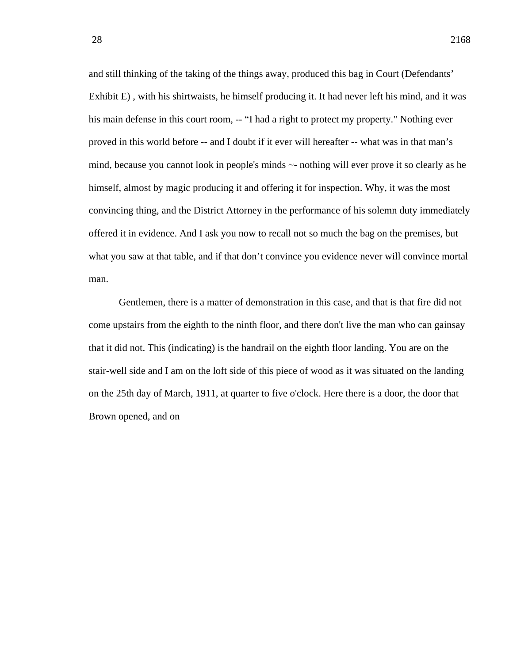and still thinking of the taking of the things away, produced this bag in Court (Defendants' Exhibit E) , with his shirtwaists, he himself producing it. It had never left his mind, and it was his main defense in this court room, -- "I had a right to protect my property." Nothing ever proved in this world before -- and I doubt if it ever will hereafter -- what was in that man's mind, because you cannot look in people's minds ~- nothing will ever prove it so clearly as he himself, almost by magic producing it and offering it for inspection. Why, it was the most convincing thing, and the District Attorney in the performance of his solemn duty immediately offered it in evidence. And I ask you now to recall not so much the bag on the premises, but what you saw at that table, and if that don't convince you evidence never will convince mortal man.

Gentlemen, there is a matter of demonstration in this case, and that is that fire did not come upstairs from the eighth to the ninth floor, and there don't live the man who can gainsay that it did not. This (indicating) is the handrail on the eighth floor landing. You are on the stair-well side and I am on the loft side of this piece of wood as it was situated on the landing on the 25th day of March, 1911, at quarter to five o'clock. Here there is a door, the door that Brown opened, and on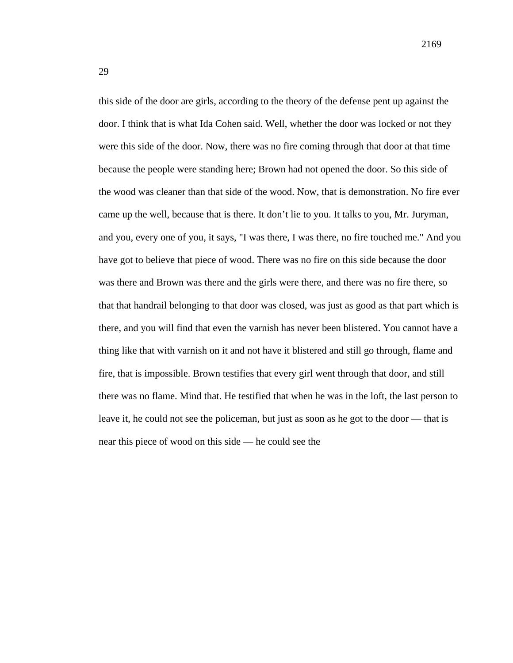this side of the door are girls, according to the theory of the defense pent up against the door. I think that is what Ida Cohen said. Well, whether the door was locked or not they were this side of the door. Now, there was no fire coming through that door at that time because the people were standing here; Brown had not opened the door. So this side of the wood was cleaner than that side of the wood. Now, that is demonstration. No fire ever came up the well, because that is there. It don't lie to you. It talks to you, Mr. Juryman, and you, every one of you, it says, "I was there, I was there, no fire touched me." And you have got to believe that piece of wood. There was no fire on this side because the door was there and Brown was there and the girls were there, and there was no fire there, so that that handrail belonging to that door was closed, was just as good as that part which is there, and you will find that even the varnish has never been blistered. You cannot have a thing like that with varnish on it and not have it blistered and still go through, flame and fire, that is impossible. Brown testifies that every girl went through that door, and still there was no flame. Mind that. He testified that when he was in the loft, the last person to leave it, he could not see the policeman, but just as soon as he got to the door — that is near this piece of wood on this side — he could see the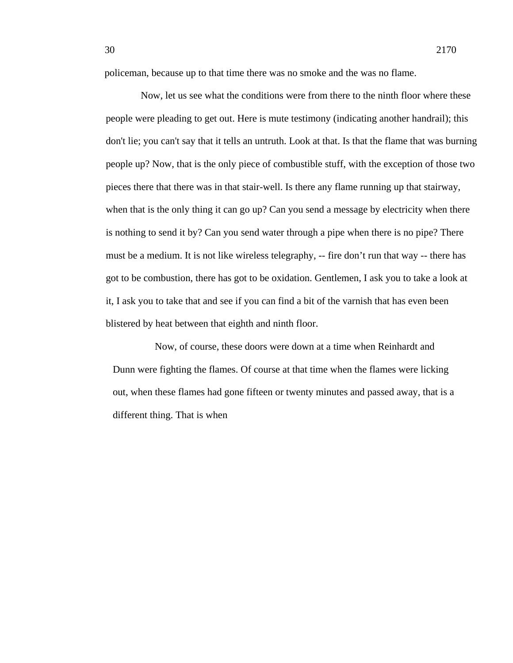policeman, because up to that time there was no smoke and the was no flame.

Now, let us see what the conditions were from there to the ninth floor where these people were pleading to get out. Here is mute testimony (indicating another handrail); this don't lie; you can't say that it tells an untruth. Look at that. Is that the flame that was burning people up? Now, that is the only piece of combustible stuff, with the exception of those two pieces there that there was in that stair-well. Is there any flame running up that stairway, when that is the only thing it can go up? Can you send a message by electricity when there is nothing to send it by? Can you send water through a pipe when there is no pipe? There must be a medium. It is not like wireless telegraphy, -- fire don't run that way -- there has got to be combustion, there has got to be oxidation. Gentlemen, I ask you to take a look at it, I ask you to take that and see if you can find a bit of the varnish that has even been blistered by heat between that eighth and ninth floor.

Now, of course, these doors were down at a time when Reinhardt and Dunn were fighting the flames. Of course at that time when the flames were licking out, when these flames had gone fifteen or twenty minutes and passed away, that is a different thing. That is when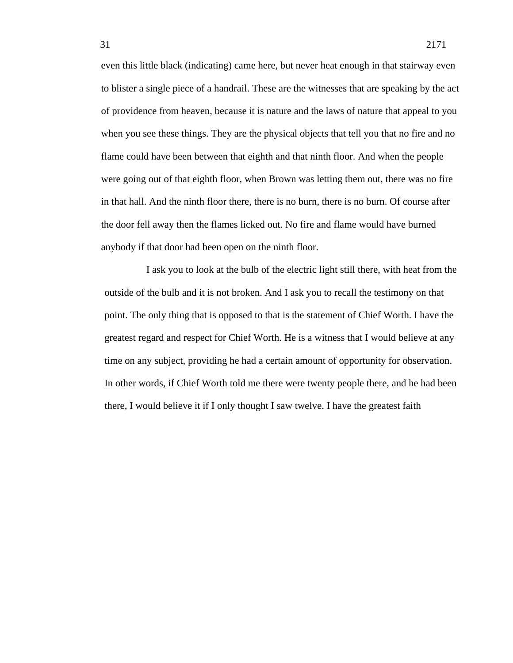even this little black (indicating) came here, but never heat enough in that stairway even to blister a single piece of a handrail. These are the witnesses that are speaking by the act of providence from heaven, because it is nature and the laws of nature that appeal to you when you see these things. They are the physical objects that tell you that no fire and no flame could have been between that eighth and that ninth floor. And when the people were going out of that eighth floor, when Brown was letting them out, there was no fire in that hall. And the ninth floor there, there is no burn, there is no burn. Of course after the door fell away then the flames licked out. No fire and flame would have burned anybody if that door had been open on the ninth floor.

I ask you to look at the bulb of the electric light still there, with heat from the outside of the bulb and it is not broken. And I ask you to recall the testimony on that point. The only thing that is opposed to that is the statement of Chief Worth. I have the greatest regard and respect for Chief Worth. He is a witness that I would believe at any time on any subject, providing he had a certain amount of opportunity for observation. In other words, if Chief Worth told me there were twenty people there, and he had been there, I would believe it if I only thought I saw twelve. I have the greatest faith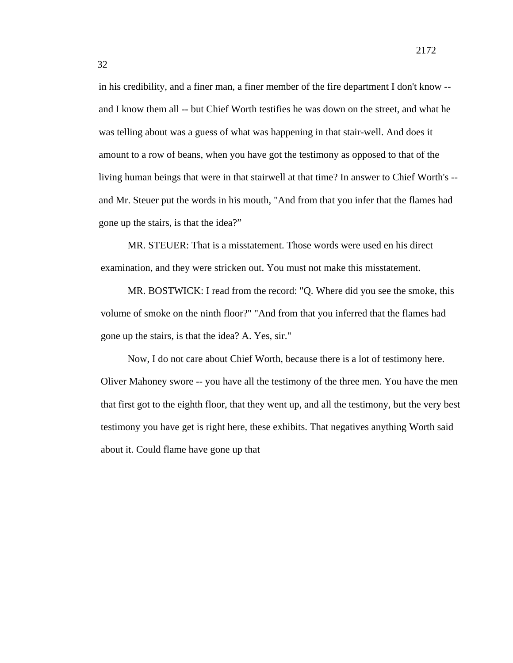in his credibility, and a finer man, a finer member of the fire department I don't know - and I know them all -- but Chief Worth testifies he was down on the street, and what he was telling about was a guess of what was happening in that stair-well. And does it amount to a row of beans, when you have got the testimony as opposed to that of the living human beings that were in that stairwell at that time? In answer to Chief Worth's - and Mr. Steuer put the words in his mouth, "And from that you infer that the flames had gone up the stairs, is that the idea?"

MR. STEUER: That is a misstatement. Those words were used en his direct examination, and they were stricken out. You must not make this misstatement.

MR. BOSTWICK: I read from the record: "Q. Where did you see the smoke, this volume of smoke on the ninth floor?" "And from that you inferred that the flames had gone up the stairs, is that the idea? A. Yes, sir."

Now, I do not care about Chief Worth, because there is a lot of testimony here. Oliver Mahoney swore -- you have all the testimony of the three men. You have the men that first got to the eighth floor, that they went up, and all the testimony, but the very best testimony you have get is right here, these exhibits. That negatives anything Worth said about it. Could flame have gone up that

32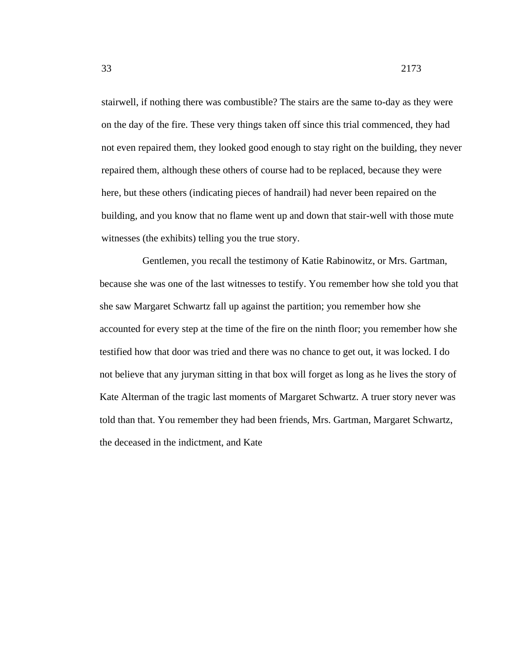stairwell, if nothing there was combustible? The stairs are the same to-day as they were on the day of the fire. These very things taken off since this trial commenced, they had not even repaired them, they looked good enough to stay right on the building, they never repaired them, although these others of course had to be replaced, because they were here, but these others (indicating pieces of handrail) had never been repaired on the

building, and you know that no flame went up and down that stair-well with those mute witnesses (the exhibits) telling you the true story.

Gentlemen, you recall the testimony of Katie Rabinowitz, or Mrs. Gartman, because she was one of the last witnesses to testify. You remember how she told you that she saw Margaret Schwartz fall up against the partition; you remember how she accounted for every step at the time of the fire on the ninth floor; you remember how she testified how that door was tried and there was no chance to get out, it was locked. I do not believe that any juryman sitting in that box will forget as long as he lives the story of Kate Alterman of the tragic last moments of Margaret Schwartz. A truer story never was told than that. You remember they had been friends, Mrs. Gartman, Margaret Schwartz, the deceased in the indictment, and Kate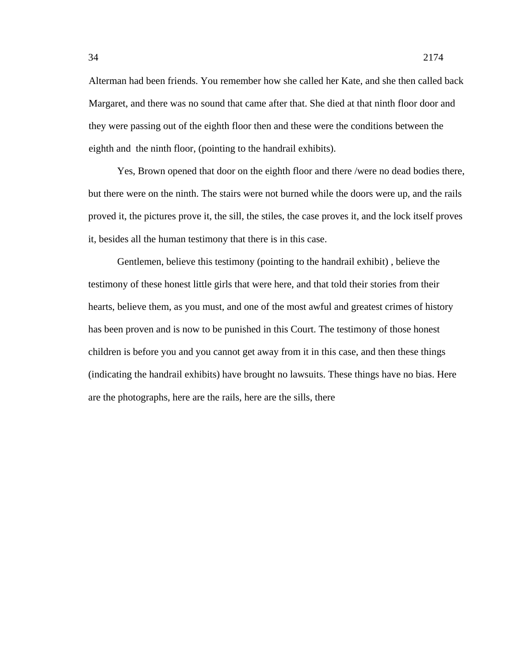Alterman had been friends. You remember how she called her Kate, and she then called back Margaret, and there was no sound that came after that. She died at that ninth floor door and they were passing out of the eighth floor then and these were the conditions between the eighth and the ninth floor, (pointing to the handrail exhibits).

Yes, Brown opened that door on the eighth floor and there /were no dead bodies there, but there were on the ninth. The stairs were not burned while the doors were up, and the rails proved it, the pictures prove it, the sill, the stiles, the case proves it, and the lock itself proves it, besides all the human testimony that there is in this case.

Gentlemen, believe this testimony (pointing to the handrail exhibit) , believe the testimony of these honest little girls that were here, and that told their stories from their hearts, believe them, as you must, and one of the most awful and greatest crimes of history has been proven and is now to be punished in this Court. The testimony of those honest children is before you and you cannot get away from it in this case, and then these things (indicating the handrail exhibits) have brought no lawsuits. These things have no bias. Here are the photographs, here are the rails, here are the sills, there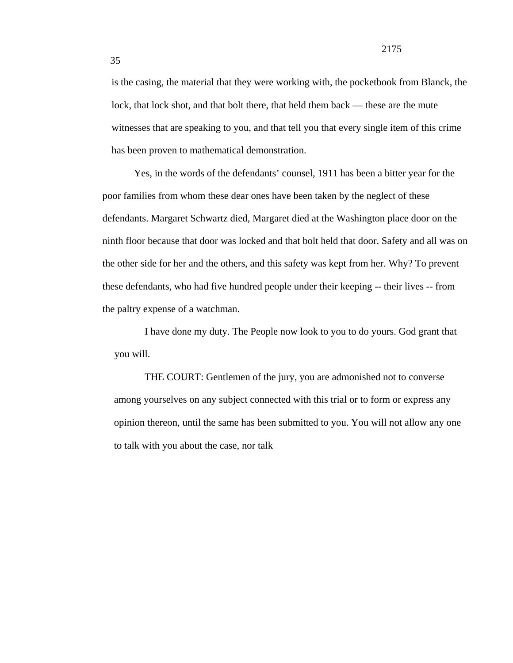is the casing, the material that they were working with, the pocketbook from Blanck, the lock, that lock shot, and that bolt there, that held them back — these are the mute witnesses that are speaking to you, and that tell you that every single item of this crime has been proven to mathematical demonstration.

Yes, in the words of the defendants' counsel, 1911 has been a bitter year for the poor families from whom these dear ones have been taken by the neglect of these defendants. Margaret Schwartz died, Margaret died at the Washington place door on the ninth floor because that door was locked and that bolt held that door. Safety and all was on the other side for her and the others, and this safety was kept from her. Why? To prevent these defendants, who had five hundred people under their keeping -- their lives -- from the paltry expense of a watchman.

I have done my duty. The People now look to you to do yours. God grant that you will.

THE COURT: Gentlemen of the jury, you are admonished not to converse among yourselves on any subject connected with this trial or to form or express any opinion thereon, until the same has been submitted to you. You will not allow any one to talk with you about the case, nor talk

35